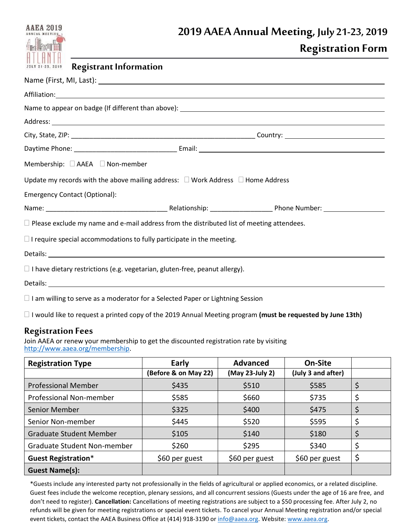|                                      | 2019 AAEA Annual Meeting, July 21-23, 2019                                                                                                                                                                                     |
|--------------------------------------|--------------------------------------------------------------------------------------------------------------------------------------------------------------------------------------------------------------------------------|
| <b>Alfammin</b>                      | <b>Registration Form</b>                                                                                                                                                                                                       |
| JULY 21-23, 2019                     | <b>Registrant Information</b>                                                                                                                                                                                                  |
|                                      | Name (First, MI, Last): 1998. [19] Manneson Contract Contract Contract Contract Contract Contract Contract Contract Contract Contract Contract Contract Contract Contract Contract Contract Contract Contract Contract Contrac |
|                                      |                                                                                                                                                                                                                                |
|                                      |                                                                                                                                                                                                                                |
|                                      |                                                                                                                                                                                                                                |
|                                      |                                                                                                                                                                                                                                |
|                                      |                                                                                                                                                                                                                                |
|                                      | Membership: □ AAEA □ Non-member                                                                                                                                                                                                |
|                                      | Update my records with the above mailing address: $\Box$ Work Address $\Box$ Home Address                                                                                                                                      |
| <b>Emergency Contact (Optional):</b> |                                                                                                                                                                                                                                |
|                                      |                                                                                                                                                                                                                                |
|                                      | $\Box$ Please exclude my name and e-mail address from the distributed list of meeting attendees.                                                                                                                               |
|                                      | $\Box$ I require special accommodations to fully participate in the meeting.                                                                                                                                                   |
|                                      | Details: example, and the second contract of the second contract of the second contract of the second contract of the second contract of the second contract of the second contract of the second contract of the second contr |
|                                      | $\Box$ I have dietary restrictions (e.g. vegetarian, gluten-free, peanut allergy).                                                                                                                                             |
|                                      |                                                                                                                                                                                                                                |

 $\Box$  I am willing to serve as a moderator for a Selected Paper or Lightning Session

I would like to request a printed copy of the 2019 Annual Meeting program **(must be requested by June 13th)**

## **Registration Fees**

Join AAEA or renew your membership to get the discounted registration rate by visiting [http://www.aaea.org/membership.](http://www.aaea.org/membership)

| <b>Registration Type</b>           | Early                | <b>Advanced</b> | On-Site            |    |
|------------------------------------|----------------------|-----------------|--------------------|----|
|                                    | (Before & on May 22) | (May 23-July 2) | (July 3 and after) |    |
| <b>Professional Member</b>         | \$435                | \$510           | \$585              | \$ |
| Professional Non-member            | \$585                | \$660           | \$735              | \$ |
| Senior Member                      | \$325                | \$400           | \$475              |    |
| Senior Non-member                  | \$445                | \$520           | \$595              |    |
| <b>Graduate Student Member</b>     | \$105                | \$140           | \$180              |    |
| <b>Graduate Student Non-member</b> | \$260                | \$295           | \$340              |    |
| <b>Guest Registration*</b>         | \$60 per guest       | \$60 per guest  | \$60 per guest     | \$ |
| <b>Guest Name(s):</b>              |                      |                 |                    |    |

\*Guests include any interested party not professionally in the fields of agricultural or applied economics, or a related discipline. Guest fees include the welcome reception, plenary sessions, and all concurrent sessions (Guests under the age of 16 are free, and don't need to register). **Cancellation:** Cancellations of meeting registrations are subject to a \$50 processing fee. After July 2, no refunds will be given for meeting registrations or special event tickets. To cancel your Annual Meeting registration and/or special event tickets, contact the AAEA Business Office at (414) 918-3190 or [info@aaea.org.](mailto:info@aaea.org) Website[: www.aaea.org.](http://www.aaea.org/)